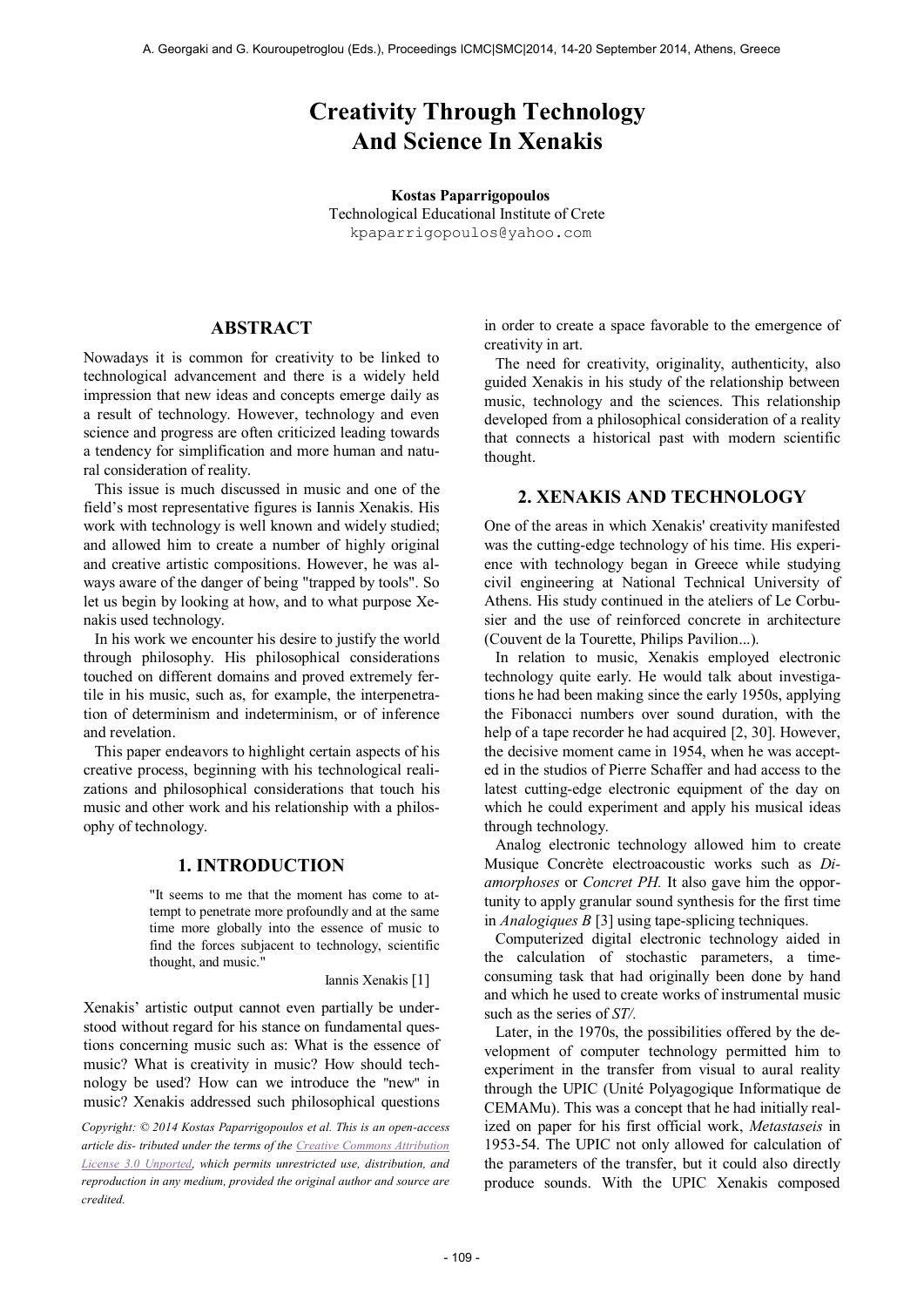# **Creativity Through Technology And Science In Xenakis**

**Kostas Paparrigopoulos** Technological Educational Institute of Crete [kpaparrigopoulos@yahoo.com](mailto:author2@smcnetwork.org)

# **ABSTRACT**

Nowadays it is common for creativity to be linked to technological advancement and there is a widely held impression that new ideas and concepts emerge daily as a result of technology. However, technology and even science and progress are often criticized leading towards a tendency for simplification and more human and natural consideration of reality.

This issue is much discussed in music and one of the field's most representative figures is Iannis Xenakis. His work with technology is well known and widely studied; and allowed him to create a number of highly original and creative artistic compositions. However, he was always aware of the danger of being "trapped by tools". So let us begin by looking at how, and to what purpose Xenakis used technology.

In his work we encounter his desire to justify the world through philosophy. His philosophical considerations touched on different domains and proved extremely fertile in his music, such as, for example, the interpenetration of determinism and indeterminism, or of inference and revelation.

This paper endeavors to highlight certain aspects of his creative process, beginning with his technological realizations and philosophical considerations that touch his music and other work and his relationship with a philosophy of technology.

## **1. INTRODUCTION**

"It seems to me that the moment has come to attempt to penetrate more profoundly and at the same time more globally into the essence of music to find the forces subjacent to technology, scientific thought, and music."

Iannis Xenakis [1]

Xenakis' artistic output cannot even partially be understood without regard for his stance on fundamental questions concerning music such as: What is the essence of music? What is creativity in music? How should technology be used? How can we introduce the "new" in music? Xenakis addressed such philosophical questions

*Copyright: © 2014 Kostas Paparrigopoulos et al. This is an open-access article dis- tributed under the terms of th[e Creative Commons Attribution](http://creativecommons.org/licenses/by/3.0/)  [License 3.0 Unported,](http://creativecommons.org/licenses/by/3.0/) which permits unrestricted use, distribution, and reproduction in any medium, provided the original author and source are credited.*

in order to create a space favorable to the emergence of creativity in art.

The need for creativity, originality, authenticity, also guided Xenakis in his study of the relationship between music, technology and the sciences. This relationship developed from a philosophical consideration of a reality that connects a historical past with modern scientific thought.

## **2. XENAKIS AND TECHNOLOGY**

One of the areas in which Xenakis' creativity manifested was the cutting-edge technology of his time. His experience with technology began in Greece while studying civil engineering at National Technical University of Athens. His study continued in the ateliers of Le Corbusier and the use of reinforced concrete in architecture (Couvent de la Tourette, Philips Pavilion...).

In relation to music, Xenakis employed electronic technology quite early. He would talk about investigations he had been making since the early 1950s, applying the Fibonacci numbers over sound duration, with the help of a tape recorder he had acquired [2, 30]. However, the decisive moment came in 1954, when he was accepted in the studios of Pierre Schaffer and had access to the latest cutting-edge electronic equipment of the day on which he could experiment and apply his musical ideas through technology.

Analog electronic technology allowed him to create Musique Concrète electroacoustic works such as *Diamorphoses* or *Concret PH.* It also gave him the opportunity to apply granular sound synthesis for the first time in *Analogiques B* [3] using tape-splicing techniques.

Computerized digital electronic technology aided in the calculation of stochastic parameters, a timeconsuming task that had originally been done by hand and which he used to create works of instrumental music such as the series of *ST/.*

Later, in the 1970s, the possibilities offered by the development of computer technology permitted him to experiment in the transfer from visual to aural reality through the UPIC (Unité Polyagogique Informatique de CEMAMu). This was a concept that he had initially realized on paper for his first official work, *Metastaseis* in 1953-54. The UPIC not only allowed for calculation of the parameters of the transfer, but it could also directly produce sounds. With the UPIC Xenakis composed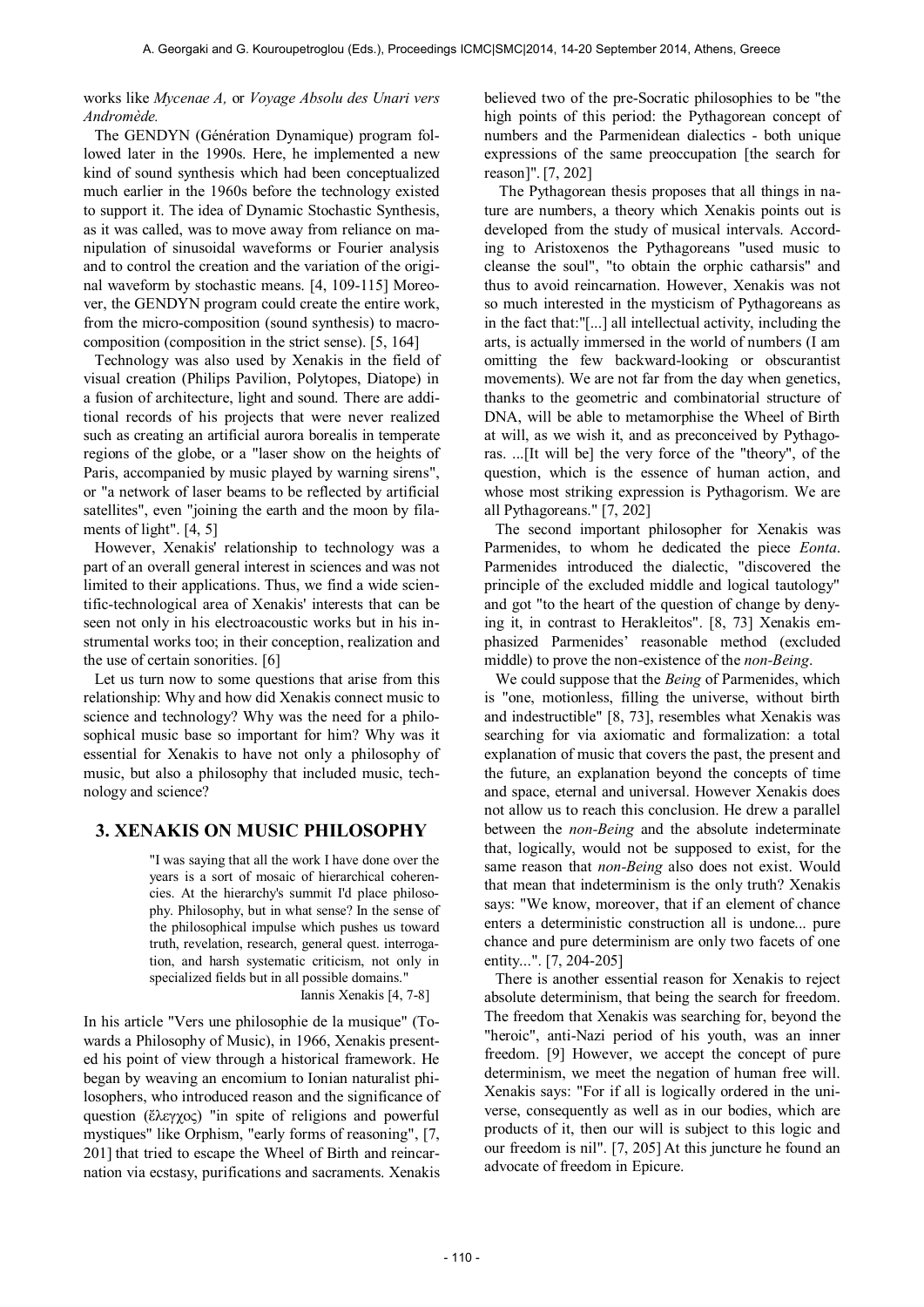#### works like *Mycenae A,* or *Voyage Absolu des Unari vers Andromède.*

The GENDYN (Génération Dynamique) program followed later in the 1990s. Here, he implemented a new kind of sound synthesis which had been conceptualized much earlier in the 1960s before the technology existed to support it. The idea of Dynamic Stochastic Synthesis, as it was called, was to move away from reliance on manipulation of sinusoidal waveforms or Fourier analysis and to control the creation and the variation of the original waveform by stochastic means. [4, 109-115] Moreover, the GENDYN program could create the entire work, from the micro-composition (sound synthesis) to macrocomposition (composition in the strict sense). [5, 164]

Technology was also used by Xenakis in the field of visual creation (Philips Pavilion, Polytopes, Diatope) in a fusion of architecture, light and sound. There are additional records of his projects that were never realized such as creating an artificial aurora borealis in temperate regions of the globe, or a "laser show on the heights of Paris, accompanied by music played by warning sirens", or "a network of laser beams to be reflected by artificial satellites", even "joining the earth and the moon by filaments of light". [4, 5]

However, Xenakis' relationship to technology was a part of an overall general interest in sciences and was not limited to their applications. Thus, we find a wide scientific-technological area of Xenakis' interests that can be seen not only in his electroacoustic works but in his instrumental works too; in their conception, realization and the use of certain sonorities. [6]

Let us turn now to some questions that arise from this relationship: Why and how did Xenakis connect music to science and technology? Why was the need for a philosophical music base so important for him? Why was it essential for Xenakis to have not only a philosophy of music, but also a philosophy that included music, technology and science?

# **3. XENAKIS ON MUSIC PHILOSOPHY**

"I was saying that all the work I have done over the years is a sort of mosaic of hierarchical coherencies. At the hierarchy's summit I'd place philosophy. Philosophy, but in what sense? In the sense of the philosophical impulse which pushes us toward truth, revelation, research, general quest. interrogation, and harsh systematic criticism, not only in specialized fields but in all possible domains."

Iannis Xenakis [4, 7-8]

In his article "Vers une philosophie de la musique" (Towards a Philosophy of Music), in 1966, Xenakis presented his point of view through a historical framework. He began by weaving an encomium to Ionian naturalist philosophers, who introduced reason and the significance of question (ἔλεγχος) "in spite of religions and powerful mystiques" like Orphism, "early forms of reasoning", [7, 201] that tried to escape the Wheel of Birth and reincarnation via ecstasy, purifications and sacraments. Xenakis

believed two of the pre-Socratic philosophies to be "the high points of this period: the Pythagorean concept of numbers and the Parmenidean dialectics - both unique expressions of the same preoccupation [the search for reason]". [7, 202]

 The Pythagorean thesis proposes that all things in nature are numbers, a theory which Xenakis points out is developed from the study of musical intervals. According to Aristoxenos the Pythagoreans "used music to cleanse the soul", "to obtain the orphic catharsis" and thus to avoid reincarnation. However, Xenakis was not so much interested in the mysticism of Pythagoreans as in the fact that:"[...] all intellectual activity, including the arts, is actually immersed in the world of numbers (I am omitting the few backward-looking or obscurantist movements). We are not far from the day when genetics, thanks to the geometric and combinatorial structure of DNA, will be able to metamorphise the Wheel of Birth at will, as we wish it, and as preconceived by Pythagoras. ...[It will be] the very force of the "theory", of the question, which is the essence of human action, and whose most striking expression is Pythagorism. We are all Pythagoreans." [7, 202]

The second important philosopher for Xenakis was Parmenides, to whom he dedicated the piece *Eonta*. Parmenides introduced the dialectic, "discovered the principle of the excluded middle and logical tautology" and got "to the heart of the question of change by denying it, in contrast to Herakleitos". [8, 73] Xenakis emphasized Parmenides' reasonable method (excluded middle) to prove the non-existence of the *non-Being*.

We could suppose that the *Being* of Parmenides, which is "one, motionless, filling the universe, without birth and indestructible" [8, 73], resembles what Xenakis was searching for via axiomatic and formalization: a total explanation of music that covers the past, the present and the future, an explanation beyond the concepts of time and space, eternal and universal. However Xenakis does not allow us to reach this conclusion. He drew a parallel between the *non-Being* and the absolute indeterminate that, logically, would not be supposed to exist, for the same reason that *non-Being* also does not exist. Would that mean that indeterminism is the only truth? Xenakis says: "We know, moreover, that if an element of chance enters a deterministic construction all is undone... pure chance and pure determinism are only two facets of one entity...". [7, 204-205]

There is another essential reason for Xenakis to reject absolute determinism, that being the search for freedom. The freedom that Xenakis was searching for, beyond the "heroic", anti-Nazi period of his youth, was an inner freedom. [9] However, we accept the concept of pure determinism, we meet the negation of human free will. Xenakis says: "For if all is logically ordered in the universe, consequently as well as in our bodies, which are products of it, then our will is subject to this logic and our freedom is nil". [7, 205] At this juncture he found an advocate of freedom in Epicure.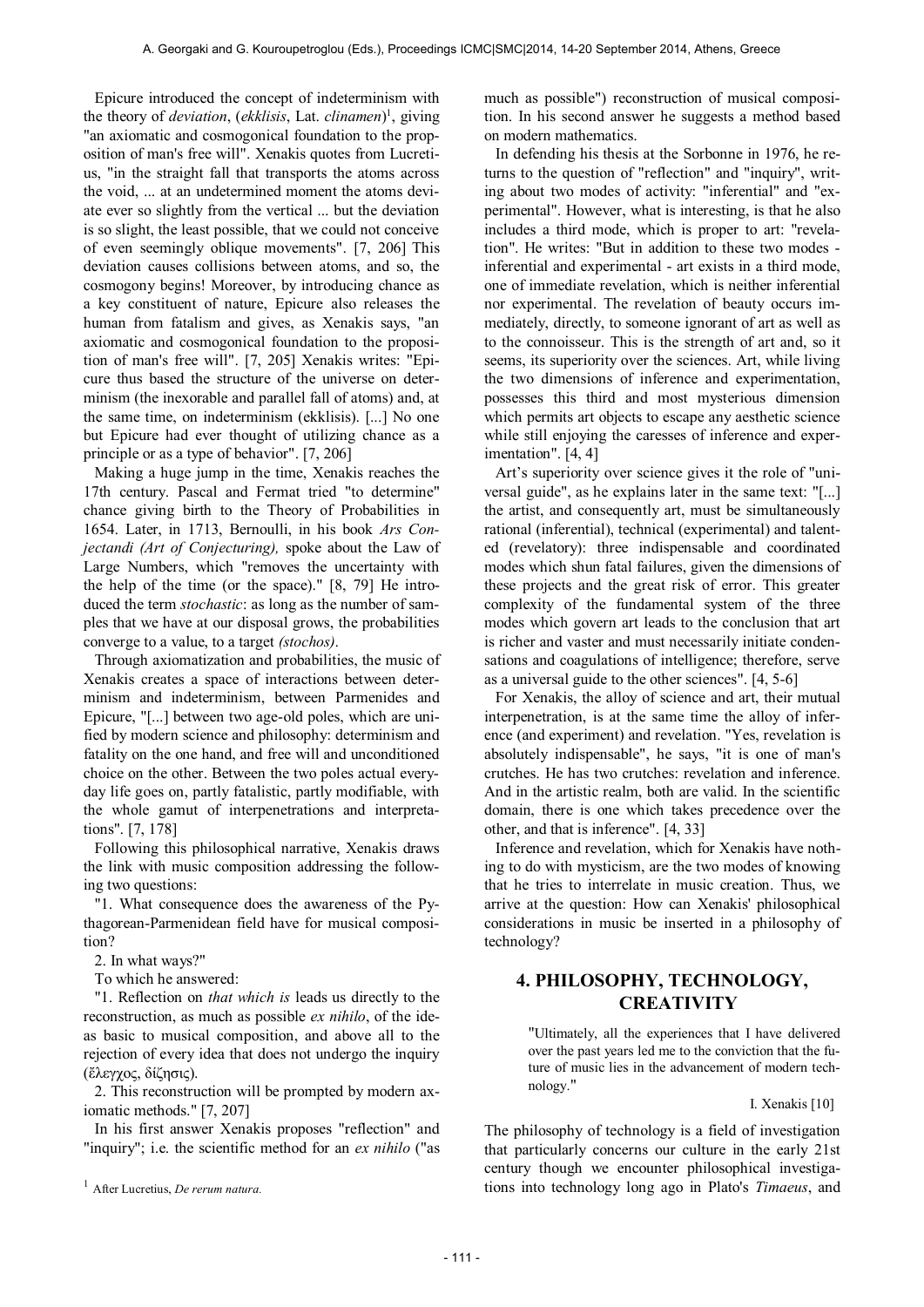Epicure introduced the concept of indeterminism with the theory of *deviation*, (*ekklisis*, Lat. *clinamen*) 1 , giving "an axiomatic and cosmogonical foundation to the proposition of man's free will". Xenakis quotes from Lucretius, "in the straight fall that transports the atoms across the void, ... at an undetermined moment the atoms deviate ever so slightly from the vertical ... but the deviation is so slight, the least possible, that we could not conceive of even seemingly oblique movements". [7, 206] This deviation causes collisions between atoms, and so, the cosmogony begins! Moreover, by introducing chance as a key constituent of nature, Epicure also releases the human from fatalism and gives, as Xenakis says, "an axiomatic and cosmogonical foundation to the proposition of man's free will". [7, 205] Xenakis writes: "Epicure thus based the structure of the universe on determinism (the inexorable and parallel fall of atoms) and, at the same time, on indeterminism (ekklisis). [...] No one but Epicure had ever thought of utilizing chance as a principle or as a type of behavior". [7, 206]

Making a huge jump in the time, Xenakis reaches the 17th century. Pascal and Fermat tried "to determine" chance giving birth to the Theory of Probabilities in 1654. Later, in 1713, Bernoulli, in his book *Ars Conjectandi (Art of Conjecturing),* spoke about the Law of Large Numbers, which "removes the uncertainty with the help of the time (or the space)." [8, 79] He introduced the term *stochastic*: as long as the number of samples that we have at our disposal grows, the probabilities converge to a value, to a target *(stochos)*.

Through axiomatization and probabilities, the music of Xenakis creates a space of interactions between determinism and indeterminism, between Parmenides and Epicure, "[...] between two age-old poles, which are unified by modern science and philosophy: determinism and fatality on the one hand, and free will and unconditioned choice on the other. Between the two poles actual everyday life goes on, partly fatalistic, partly modifiable, with the whole gamut of interpenetrations and interpretations". [7, 178]

Following this philosophical narrative, Xenakis draws the link with music composition addressing the following two questions:

"1. What consequence does the awareness of the Pythagorean-Parmenidean field have for musical composition?

2. In what ways?"

To which he answered:

"1. Reflection on *that which is* leads us directly to the reconstruction, as much as possible *ex nihilo*, of the ideas basic to musical composition, and above all to the rejection of every idea that does not undergo the inquiry (ἔλεγχος, δίζησις).

2. This reconstruction will be prompted by modern axiomatic methods." [7, 207]

In his first answer Xenakis proposes "reflection" and "inquiry"; i.e. the scientific method for an *ex nihilo* ("as much as possible") reconstruction of musical composition. In his second answer he suggests a method based on modern mathematics.

In defending his thesis at the Sorbonne in 1976, he returns to the question of "reflection" and "inquiry", writing about two modes of activity: "inferential" and "experimental". However, what is interesting, is that he also includes a third mode, which is proper to art: "revelation". He writes: "But in addition to these two modes inferential and experimental - art exists in a third mode, one of immediate revelation, which is neither inferential nor experimental. The revelation of beauty occurs immediately, directly, to someone ignorant of art as well as to the connoisseur. This is the strength of art and, so it seems, its superiority over the sciences. Art, while living the two dimensions of inference and experimentation, possesses this third and most mysterious dimension which permits art objects to escape any aesthetic science while still enjoying the caresses of inference and experimentation". [4, 4]

Art's superiority over science gives it the role of "universal guide", as he explains later in the same text: "[...] the artist, and consequently art, must be simultaneously rational (inferential), technical (experimental) and talented (revelatory): three indispensable and coordinated modes which shun fatal failures, given the dimensions of these projects and the great risk of error. This greater complexity of the fundamental system of the three modes which govern art leads to the conclusion that art is richer and vaster and must necessarily initiate condensations and coagulations of intelligence; therefore, serve as a universal guide to the other sciences". [4, 5-6]

For Xenakis, the alloy of science and art, their mutual interpenetration, is at the same time the alloy of inference (and experiment) and revelation. "Yes, revelation is absolutely indispensable", he says, "it is one of man's crutches. He has two crutches: revelation and inference. And in the artistic realm, both are valid. In the scientific domain, there is one which takes precedence over the other, and that is inference". [4, 33]

Inference and revelation, which for Xenakis have nothing to do with mysticism, are the two modes of knowing that he tries to interrelate in music creation. Thus, we arrive at the question: How can Xenakis' philosophical considerations in music be inserted in a philosophy of technology?

# **4. PHILOSOPHY, TECHNOLOGY, CREATIVITY**

"Ultimately, all the experiences that I have delivered over the past years led me to the conviction that the future of music lies in the advancement of modern technology."

I. Xenakis [10]

The philosophy of technology is a field of investigation that particularly concerns our culture in the early 21st century though we encounter philosophical investigations into technology long ago in Plato's *Timaeus*, and

<sup>1</sup> After Lucretius, *De rerum natura.*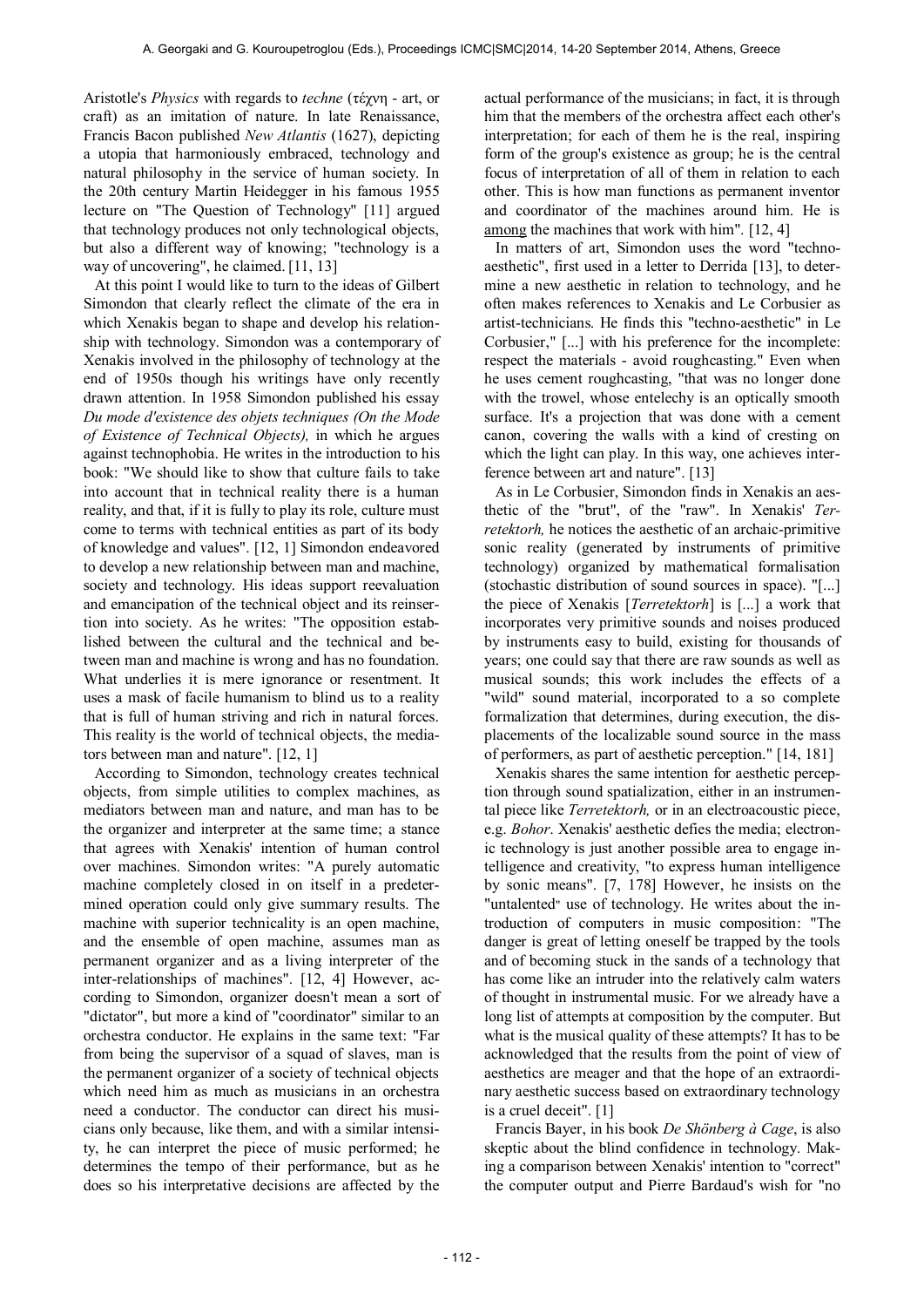Aristotle's *Physics* with regards to *techne* (τέχνη - art, or craft) as an imitation of nature. In late Renaissance, Francis Bacon published *New Atlantis* (1627), depicting a utopia that harmoniously embraced, technology and natural philosophy in the service of human society. In the 20th century Martin Heidegger in his famous 1955 lecture on "The Question of Technology" [11] argued that technology produces not only technological objects, but also a different way of knowing; "technology is a way of uncovering", he claimed. [11, 13]

At this point I would like to turn to the ideas of Gilbert Simondon that clearly reflect the climate of the era in which Xenakis began to shape and develop his relationship with technology. Simondon was a contemporary of Xenakis involved in the philosophy of technology at the end of 1950s though his writings have only recently drawn attention. In 1958 Simondon published his essay *Du mode d'existence des objets techniques (On the Mode of Existence of Technical Objects),* in which he argues against technophobia. He writes in the introduction to his book: "We should like to show that culture fails to take into account that in technical reality there is a human reality, and that, if it is fully to play its role, culture must come to terms with technical entities as part of its body of knowledge and values". [12, 1] Simondon endeavored to develop a new relationship between man and machine, society and technology. His ideas support reevaluation and emancipation of the technical object and its reinsertion into society. As he writes: "The opposition established between the cultural and the technical and between man and machine is wrong and has no foundation. What underlies it is mere ignorance or resentment. It uses a mask of facile humanism to blind us to a reality that is full of human striving and rich in natural forces. This reality is the world of technical objects, the mediators between man and nature". [12, 1]

According to Simondon, technology creates technical objects, from simple utilities to complex machines, as mediators between man and nature, and man has to be the organizer and interpreter at the same time; a stance that agrees with Xenakis' intention of human control over machines. Simondon writes: "A purely automatic machine completely closed in on itself in a predetermined operation could only give summary results. The machine with superior technicality is an open machine, and the ensemble of open machine, assumes man as permanent organizer and as a living interpreter of the inter-relationships of machines". [12, 4] However, according to Simondon, organizer doesn't mean a sort of "dictator", but more a kind of "coordinator" similar to an orchestra conductor. He explains in the same text: "Far from being the supervisor of a squad of slaves, man is the permanent organizer of a society of technical objects which need him as much as musicians in an orchestra need a conductor. The conductor can direct his musicians only because, like them, and with a similar intensity, he can interpret the piece of music performed; he determines the tempo of their performance, but as he does so his interpretative decisions are affected by the

actual performance of the musicians; in fact, it is through him that the members of the orchestra affect each other's interpretation; for each of them he is the real, inspiring form of the group's existence as group; he is the central focus of interpretation of all of them in relation to each other. This is how man functions as permanent inventor and coordinator of the machines around him. He is among the machines that work with him". [12, 4]

In matters of art, Simondon uses the word "technoaesthetic", first used in a letter to Derrida [13], to determine a new aesthetic in relation to technology, and he often makes references to Xenakis and Le Corbusier as artist-technicians. He finds this "techno-aesthetic" in Le Corbusier," [...] with his preference for the incomplete: respect the materials - avoid roughcasting." Even when he uses cement roughcasting, "that was no longer done with the trowel, whose entelechy is an optically smooth surface. It's a projection that was done with a cement canon, covering the walls with a kind of cresting on which the light can play. In this way, one achieves interference between art and nature". [13]

As in Le Corbusier, Simondon finds in Xenakis an aesthetic of the "brut", of the "raw". In Xenakis' *Terretektorh,* he notices the aesthetic of an archaic-primitive sonic reality (generated by instruments of primitive technology) organized by mathematical formalisation (stochastic distribution of sound sources in space). "[...] the piece of Xenakis [*Terretektorh*] is [...] a work that incorporates very primitive sounds and noises produced by instruments easy to build, existing for thousands of years; one could say that there are raw sounds as well as musical sounds; this work includes the effects of a "wild" sound material, incorporated to a so complete formalization that determines, during execution, the displacements of the localizable sound source in the mass of performers, as part of aesthetic perception." [14, 181]

Xenakis shares the same intention for aesthetic perception through sound spatialization, either in an instrumental piece like *Terretektorh,* or in an electroacoustic piece, e.g. *Bohor*. Xenakis' aesthetic defies the media; electronic technology is just another possible area to engage intelligence and creativity, "to express human intelligence by sonic means". [7, 178] However, he insists on the "untalented" use of technology. He writes about the introduction of computers in music composition: "The danger is great of letting oneself be trapped by the tools and of becoming stuck in the sands of a technology that has come like an intruder into the relatively calm waters of thought in instrumental music. For we already have a long list of attempts at composition by the computer. But what is the musical quality of these attempts? It has to be acknowledged that the results from the point of view of aesthetics are meager and that the hope of an extraordinary aesthetic success based on extraordinary technology is a cruel deceit". [1]

Francis Bayer, in his book *De Shönberg à Cage*, is also skeptic about the blind confidence in technology. Making a comparison between Xenakis' intention to "correct" the computer output and Pierre Bardaud's wish for "no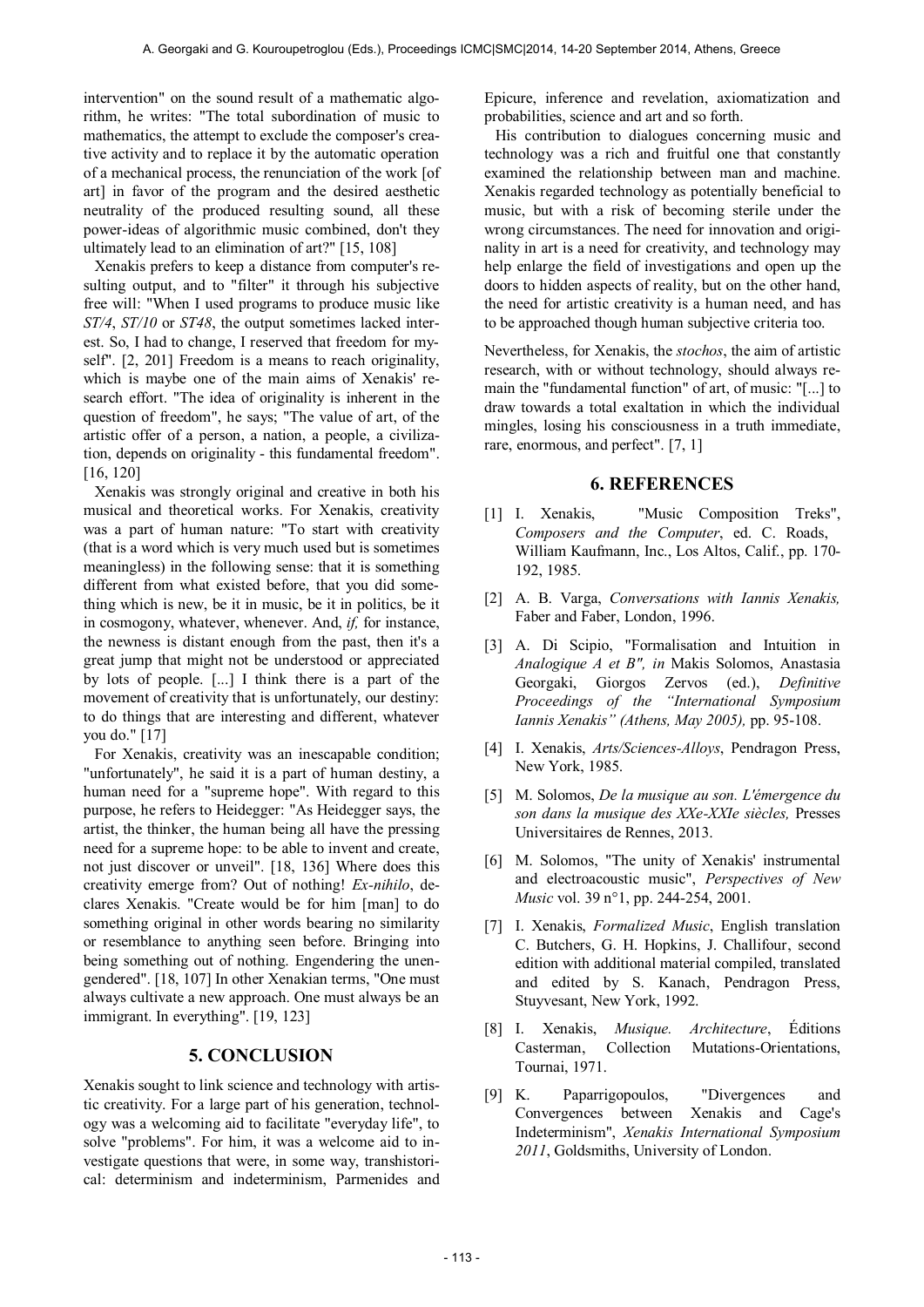intervention" on the sound result of a mathematic algorithm, he writes: "The total subordination of music to mathematics, the attempt to exclude the composer's creative activity and to replace it by the automatic operation of a mechanical process, the renunciation of the work [of art] in favor of the program and the desired aesthetic neutrality of the produced resulting sound, all these power-ideas of algorithmic music combined, don't they ultimately lead to an elimination of art?" [15, 108]

Xenakis prefers to keep a distance from computer's resulting output, and to "filter" it through his subjective free will: "When I used programs to produce music like *ST/4*, *ST/10* or *ST48*, the output sometimes lacked interest. So, I had to change, I reserved that freedom for myself". [2, 201] Freedom is a means to reach originality, which is maybe one of the main aims of Xenakis' research effort. "The idea of originality is inherent in the question of freedom", he says; "The value of art, of the artistic offer of a person, a nation, a people, a civilization, depends on originality - this fundamental freedom". [16, 120]

Xenakis was strongly original and creative in both his musical and theoretical works. For Xenakis, creativity was a part of human nature: "To start with creativity (that is a word which is very much used but is sometimes meaningless) in the following sense: that it is something different from what existed before, that you did something which is new, be it in music, be it in politics, be it in cosmogony, whatever, whenever. And, *if,* for instance, the newness is distant enough from the past, then it's a great jump that might not be understood or appreciated by lots of people. [...] I think there is a part of the movement of creativity that is unfortunately, our destiny: to do things that are interesting and different, whatever you do." [17]

For Xenakis, creativity was an inescapable condition; "unfortunately", he said it is a part of human destiny, a human need for a "supreme hope". With regard to this purpose, he refers to Heidegger: "As Heidegger says, the artist, the thinker, the human being all have the pressing need for a supreme hope: to be able to invent and create, not just discover or unveil". [18, 136] Where does this creativity emerge from? Out of nothing! *Ex-nihilo*, declares Xenakis. "Create would be for him [man] to do something original in other words bearing no similarity or resemblance to anything seen before. Bringing into being something out of nothing. Engendering the unengendered". [18, 107] In other Xenakian terms, "One must always cultivate a new approach. One must always be an immigrant. In everything". [19, 123]

## **5. CONCLUSION**

Xenakis sought to link science and technology with artistic creativity. For a large part of his generation, technology was a welcoming aid to facilitate "everyday life", to solve "problems". For him, it was a welcome aid to investigate questions that were, in some way, transhistorical: determinism and indeterminism, Parmenides and

Epicure, inference and revelation, axiomatization and probabilities, science and art and so forth.

His contribution to dialogues concerning music and technology was a rich and fruitful one that constantly examined the relationship between man and machine. Xenakis regarded technology as potentially beneficial to music, but with a risk of becoming sterile under the wrong circumstances. The need for innovation and originality in art is a need for creativity, and technology may help enlarge the field of investigations and open up the doors to hidden aspects of reality, but on the other hand, the need for artistic creativity is a human need, and has to be approached though human subjective criteria too.

Nevertheless, for Xenakis, the *stochos*, the aim of artistic research, with or without technology, should always remain the "fundamental function" of art, of music: "[...] to draw towards a total exaltation in which the individual mingles, losing his consciousness in a truth immediate, rare, enormous, and perfect". [7, 1]

## **6. REFERENCES**

- [1] I. Xenakis, "Music Composition Treks", *Composers and the Computer*, ed. C. Roads, William Kaufmann, Inc., Los Altos, Calif., pp. 170- 192, 1985.
- [2] A. B. Varga, *Conversations with Iannis Xenakis,*  Faber and Faber, London, 1996.
- [3] A. Di Scipio, "Formalisation and Intuition in *Analogique A et B", in* Makis Solomos, Anastasia Georgaki, Giorgos Zervos (ed.), *Definitive Proceedings of the "International Symposium Iannis Xenakis" (Athens, May 2005),* pp. 95-108.
- [4] I. Xenakis, *Arts/Sciences-Alloys*, Pendragon Press, New York, 1985.
- [5] M. Solomos, *De la musique au son. L'émergence du son dans la musique des XXe-XXIe siècles,* Presses Universitaires de Rennes, 2013.
- [6] M. Solomos, "The unity of Xenakis' instrumental and electroacoustic music", *Perspectives of New Music* vol. 39 n°1, pp. 244-254, 2001.
- [7] I. Xenakis, *Formalized Music*, English translation C. Butchers, G. H. Hopkins, J. Challifour, second edition with additional material compiled, translated and edited by S. Kanach, Pendragon Press, Stuyvesant, New York, 1992.
- [8] I. Xenakis, *Musique. Architecture*, Éditions Casterman, Collection Mutations-Orientations, Tournai, 1971.
- [9] K. Paparrigopoulos, "Divergences and Convergences between Xenakis and Cage's Indeterminism", *Xenakis International Symposium 2011*, Goldsmiths, University of London.